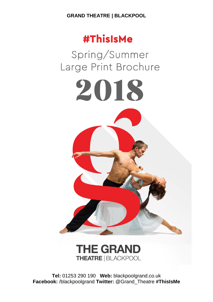# **#ThisIsMe**

Spring/Summer Large Print Brochure

2018

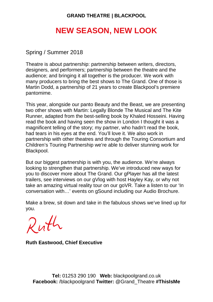# **NEW SEASON, NEW LOOK**

Spring / Summer 2018

Theatre is about partnership: partnership between writers, directors, designers, and performers; partnership between the theatre and the audience; and bringing it all together is the producer. We work with many producers to bring the best shows to The Grand. One of those is Martin Dodd, a partnership of 21 years to create Blackpool's premiere pantomime.

This year, alongside our panto Beauty and the Beast, we are presenting two other shows with Martin: Legally Blonde The Musical and The Kite Runner, adapted from the best-selling book by Khaled Hosseini. Having read the book and having seen the show in London I thought it was a magnificent telling of the story; my partner, who hadn't read the book, had tears in his eyes at the end. You'll love it. We also work in partnership with other theatres and through the Touring Consortium and Children's Touring Partnership we're able to deliver stunning work for Blackpool.

But our biggest partnership is with you, the audience. We're always looking to strengthen that partnership. We've introduced new ways for you to discover more about The Grand. Our gPlayer has all the latest trailers, see interviews on our gVlog with host Hayley Kay, or why not take an amazing virtual reality tour on our goVR. Take a listen to our 'In conversation with…' events on gSound including our Audio Brochure.

Make a brew, sit down and take in the fabulous shows we've lined up for you.

Ruth

**Ruth Eastwood, Chief Executive**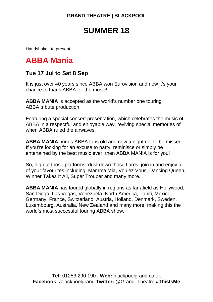# **SUMMER 18**

Handshake Ltd present

# **ABBA Mania**

### **Tue 17 Jul to Sat 8 Sep**

It is just over 40 years since ABBA won Eurovision and now it's your chance to thank ABBA for the music!

**ABBA MANIA** is accepted as the world's number one touring ABBA tribute production.

Featuring a special concert presentation, which celebrates the music of ABBA in a respectful and enjoyable way, reviving special memories of when ABBA ruled the airwaves.

**ABBA MANIA** brings ABBA fans old and new a night not to be missed. If you're looking for an excuse to party, reminisce or simply be entertained by the best music ever, then ABBA MANIA is for you!

So, dig out those platforms, dust down those flares, join in and enjoy all of your favourites including: Mamma Mia, Voulez Vous, Dancing Queen, Winner Takes It All, Super Trouper and many more.

**ABBA MANIA** has toured globally in regions as far afield as Hollywood, San Diego, Las Vegas, Venezuela, North America, Tahiti, Mexico, Germany, France, Switzerland, Austria, Holland, Denmark, Sweden, Luxembourg, Australia, New Zealand and many more, making this the world's most successful touring ABBA show.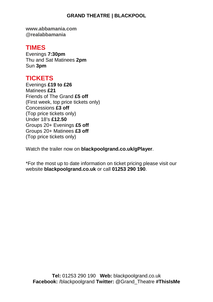**www.abbamania.com @realabbamania**

### **TIMES**

Evenings **7:30pm** Thu and Sat Matinees **2pm** Sun **3pm**

## **TICKETS**

Evenings **£19 to £26** Matinees **£21** Friends of The Grand **£5 off** (First week, top price tickets only) Concessions **£3 off** (Top price tickets only) Under 18's **£12.50** Groups 20+ Evenings **£5 off** Groups 20+ Matinees **£3 off** (Top price tickets only)

Watch the trailer now on **blackpoolgrand.co.uk/gPlayer**.

\*For the most up to date information on ticket pricing please visit our website **blackpoolgrand.co.uk** or call **01253 290 190**.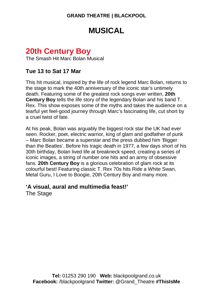# **MUSICAL**

# **20th Century Boy**

The Smash Hit Marc Bolan Musical

### **Tue 13 to Sat 17 Mar**

This hit musical, inspired by the life of rock legend Marc Bolan, returns to the stage to mark the 40th anniversary of the iconic star's untimely death. Featuring some of the greatest rock songs ever written, **20th Century Boy** tells the life story of the legendary Bolan and his band T. Rex. This show exposes some of the myths and takes the audience on a tearful yet feel-good journey through Marc's fascinating life, cut short by a cruel twist of fate.

At his peak, Bolan was arguably the biggest rock star the UK had ever seen. Rocker, poet, electric warrior, king of glam and godfather of punk – Marc Bolan became a superstar and the press dubbed him 'Bigger than the Beatles'. Before his tragic death in 1977, a few days short of his 30th birthday, Bolan lived life at breakneck speed, creating a series of iconic images, a string of number one hits and an army of obsessive fans. **20th Century Boy** is a glorious celebration of glam rock at its colourful best! Featuring classic T. Rex 70s hits Ride a White Swan, Metal Guru, I Love to Boogie, 20th Century Boy and many more.

### **'A visual, aural and multimedia feast!'**

The Stage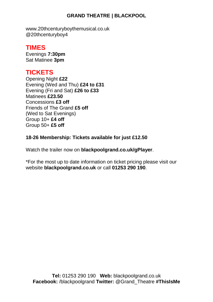www.20thcenturyboythemusical.co.uk @20thcenturyboy4

## **TIMES**

Evenings **7:30pm** Sat Matinee **3pm**

# **TICKETS**

Opening Night **£22** Evening (Wed and Thu) **£24 to £31** Evening (Fri and Sat) **£26 to £33** Matinees **£23.50** Concessions **£3 off** Friends of The Grand **£5 off** (Wed to Sat Evenings) Group 10+ **£4 off** Group 50+ **£5 off**

**18-26 Membership: Tickets available for just £12.50**

Watch the trailer now on **blackpoolgrand.co.uk/gPlayer**.

\*For the most up to date information on ticket pricing please visit our website **blackpoolgrand.co.uk** or call **01253 290 190**.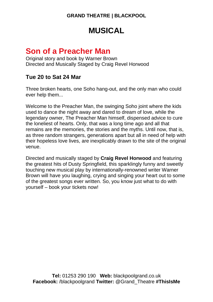# **MUSICAL**

# **Son of a Preacher Man**

Original story and book by Warner Brown Directed and Musically Staged by Craig Revel Horwood

### **Tue 20 to Sat 24 Mar**

Three broken hearts, one Soho hang-out, and the only man who could ever help them...

Welcome to the Preacher Man, the swinging Soho joint where the kids used to dance the night away and dared to dream of love, while the legendary owner, The Preacher Man himself, dispensed advice to cure the loneliest of hearts. Only, that was a long time ago and all that remains are the memories, the stories and the myths. Until now, that is, as three random strangers, generations apart but all in need of help with their hopeless love lives, are inexplicably drawn to the site of the original venue.

Directed and musically staged by **Craig Revel Horwood** and featuring the greatest hits of Dusty Springfield, this sparklingly funny and sweetly touching new musical play by internationally-renowned writer Warner Brown will have you laughing, crying and singing your heart out to some of the greatest songs ever written. So, you know just what to do with yourself – book your tickets now!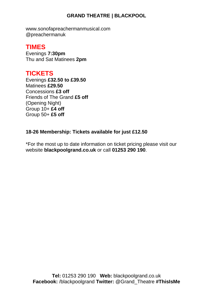www.sonofapreachermanmusical.com @preachermanuk

### **TIMES**

Evenings **7:30pm** Thu and Sat Matinees **2pm**

## **TICKETS**

Evenings **£32.50 to £39.50** Matinees **£29.50** Concessions **£3 off** Friends of The Grand **£5 off** (Opening Night) Group 10+ **£4 off** Group 50+ **£5 off**

#### **18-26 Membership: Tickets available for just £12.50**

\*For the most up to date information on ticket pricing please visit our website **blackpoolgrand.co.uk** or call **01253 290 190**.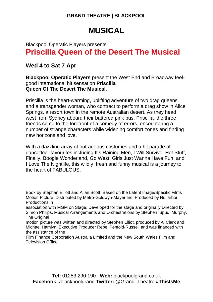# **MUSICAL**

## Blackpool Operatic Players presents **Priscilla Queen of the Desert The Musical**

## **Wed 4 to Sat 7 Apr**

**Blackpool Operatic Players** present the West End and Broadway feelgood international hit sensation **Priscilla Queen Of The Desert The Musical**.

Priscilla is the heart-warming, uplifting adventure of two drag queens and a transgender woman, who contract to perform a drag show in Alice Springs, a resort town in the remote Australian desert. As they head west from Sydney aboard their battered pink bus, Priscilla, the three friends come to the forefront of a comedy of errors, encountering a number of strange characters while widening comfort zones and finding new horizons and love.

With a dazzling array of outrageous costumes and a hit parade of dancefloor favourites including It's Raining Men, I Will Survive, Hot Stuff, Finally, Boogie Wonderland, Go West, Girls Just Wanna Have Fun, and I Love The Nightlife, this wildly fresh and funny musical is a journey to the heart of FABULOUS.

Book by Stephan Elliott and Allan Scott. Based on the Latent Image/Specific Films Motion Picture. Distributed by Metro-Goldwyn-Mayer Inc. Produced by Nullarbor Productions in

association with MGM on Stage. Developed for the stage and originally Directed by Simon Philips. Musical Arrangements and Orchestrations by Stephen 'Spud' Murphy. The Original

motion picture was written and directed by Stephen Elliot, produced by Al Clark and Michael Hamlyn, Executive Producer Rebel Penfold-Russell and was financed with the assistance of the

Film Finance Corporation Australia Limited and the New South Wales Film and Television Office.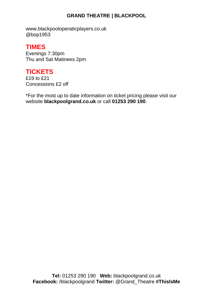www.blackpooloperaticplayers.co.uk @bop1953

## **TIMES**

Evenings 7:30pm Thu and Sat Matinees 2pm

# **TICKETS**

£19 to £21 Concessions £2 off

\*For the most up to date information on ticket pricing please visit our website **blackpoolgrand.co.uk** or call **01253 290 190**.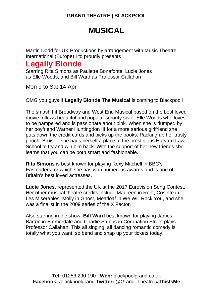# **MUSICAL**

Martin Dodd for UK Productions by arrangement with Music Theatre International (Europe) Ltd proudly presents

# **Legally Blonde**

Starring Rita Simons as Paulette Bonafonte, Lucie Jones as Elle Woods, and Bill Ward as Professor Callahan

Mon 9 to Sat 14 Apr

OMG you guys!!! **Legally Blonde The Musical** is coming to Blackpool!

The smash hit Broadway and West End Musical based on the best loved movie follows beautiful and popular sorority sister Elle Woods who loves to be pampered and is passionate about pink. When she is dumped by her boyfriend Warner Huntingdon III for a more serious girlfriend she puts down the credit cards and picks up the books. Packing up her trusty pooch, Bruiser, she bags herself a place at the prestigious Harvard Law School to try and win him back. With the support of her new friends she learns that you can be both smart and fashionable.

**Rita Simons** is best known for playing Roxy Mitchell in BBC's Eastenders for which she has won numerous awards and is one of Britain's best loved actresses.

**Lucie Jones**, represented the UK at the 2017 Eurovision Song Contest. Her other musical theatre credits include Maureen in Rent, Cosette in Les Miserables, Molly in Ghost, Meatloaf in We Will Rock You, and she was a finalist in the 2009 series of the X Factor.

Also starring in the show, **Bill Ward** best known for playing James Barton in Emmerdale and Charlie Stubbs in Coronation Street plays Professor Callahan. This all singing, all dancing romantic comedy is totally what you want, so bend and snap up your tickets today!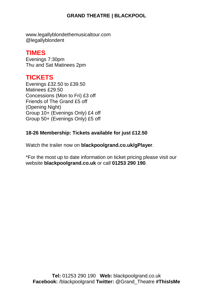www.legallyblondethemusicaltour.com @legallyblondent

## **TIMES**

Evenings 7:30pm Thu and Sat Matinees 2pm

## **TICKETS**

Evenings £32.50 to £39.50 Matinees £29.50 Concessions (Mon to Fri) £3 off Friends of The Grand £5 off (Opening Night) Group 10+ (Evenings Only) £4 off Group 50+ (Evenings Only) £5 off

#### **18-26 Membership: Tickets available for just £12.50**

Watch the trailer now on **blackpoolgrand.co.uk/gPlayer**.

\*For the most up to date information on ticket pricing please visit our website **blackpoolgrand.co.uk** or call **01253 290 190**.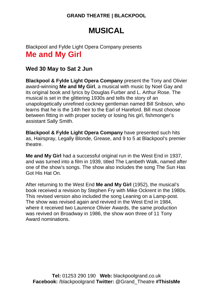# **MUSICAL**

## Blackpool and Fylde Light Opera Company presents **Me and My Girl**

### **Wed 30 May to Sat 2 Jun**

**Blackpool & Fylde Light Opera Company** present the Tony and Olivier award-winning **Me and My Girl**, a musical with music by Noel Gay and its original book and lyrics by Douglas Furber and L. Arthur Rose. The musical is set in the glittering 1930s and tells the story of an unapologetically unrefined cockney gentleman named Bill Snibson, who learns that he is the 14th heir to the Earl of Hareford. Bill must choose between fitting in with proper society or losing his girl, fishmonger's assistant Sally Smith.

**Blackpool & Fylde Light Opera Company** have presented such hits as, Hairspray, Legally Blonde, Grease, and 9 to 5 at Blackpool's premier theatre.

**Me and My Girl** had a successful original run in the West End in 1937, and was turned into a film in 1939, titled The Lambeth Walk, named after one of the show's songs. The show also includes the song The Sun Has Got His Hat On.

After returning to the West End **Me and My Girl** (1952), the musical's book received a revision by Stephen Fry with Mike Ockrent in the 1980s. This revised version also included the song Leaning on a Lamp-post. The show was revised again and revived in the West End in 1984, where it received two Laurence Olivier Awards, the same production was revived on Broadway in 1986, the show won three of 11 Tony Award nominations.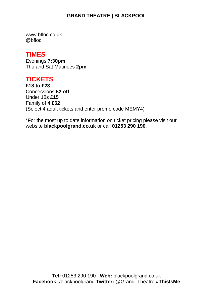www.bfloc.co.uk @bfloc

### **TIMES**

Evenings **7:30pm** Thu and Sat Matinees **2pm**

## **TICKETS**

**£18 to £23** Concessions **£2 off** Under 18s **£15** Family of 4 **£62** (Select 4 adult tickets and enter promo code MEMY4)

\*For the most up to date information on ticket pricing please visit our website **blackpoolgrand.co.uk** or call **01253 290 190**.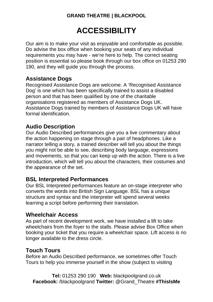# **ACCESSIBILITY**

Our aim is to make your visit as enjoyable and comfortable as possible. Do advise the box office when booking your seats of any individual requirements you may have - we're here to help. The correct seating position is essential so please book through our box office on 01253 290 190, and they will guide you through the process.

### **Assistance Dogs**

Recognised Assistance Dogs are welcome. A 'Recognised Assistance Dog' is one which has been specifically trained to assist a disabled person and that has been qualified by one of the charitable organisations registered as members of Assistance Dogs UK. Assistance Dogs trained by members of Assistance Dogs UK will have formal identification.

#### **Audio Description**

Our Audio Described performances give you a live commentary about the action happening on stage through a pair of headphones. Like a narrator telling a story, a trained describer will tell you about the things you might not be able to see, describing body language, expressions and movements, so that you can keep up with the action. There is a live introduction, which will tell you about the characters, their costumes and the appearance of the set.

### **BSL Interpreted Performances**

Our BSL Interpreted performances feature an on-stage interpreter who converts the words into British Sign Language. BSL has a unique structure and syntax and the interpreter will spend several weeks learning a script before performing their translation.

#### **Wheelchair Access**

As part of recent development work, we have installed a lift to take wheelchairs from the foyer to the stalls. Please advise Box Office when booking your ticket that you require a wheelchair space. Lift access is no longer available to the dress circle.

### **Touch Tours**

Before an Audio Described performance, we sometimes offer Touch Tours to help you immerse yourself in the show (subject to visiting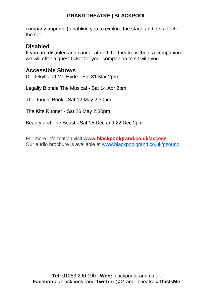company approval) enabling you to explore the stage and get a feel of the set.

#### **Disabled**

If you are disabled and cannot attend the theatre without a companion we will offer a guest ticket for your companion to sit with you.

#### **Accessible Shows**

Dr. Jekyll and Mr. Hyde - Sat 31 Mar 2pm

Legally Blonde The Musical - Sat 14 Apr 2pm

The Jungle Book - Sat 12 May 2:30pm

The Kite Runner - Sat 26 May 2:30pm

Beauty and The Beast - Sat 15 Dec and 22 Dec 2pm

For more information visit **www.blackpoolgrand.co.uk/access** Our audio brochure is available at [www.blackpoolgrand.co.uk/gsound](http://www.blackpoolgrand.co.uk/gsound)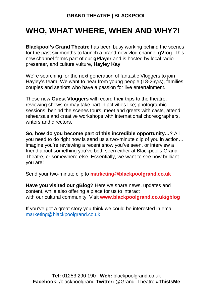# **WHO, WHAT WHERE, WHEN AND WHY?!**

**Blackpool's Grand Theatre** has been busy working behind the scenes for the past six months to launch a brand-new vlog channel **gVlog**. This new channel forms part of our **gPlayer** and is hosted by local radio presenter, and culture vulture, **Hayley Kay**.

We're searching for the next generation of fantastic Vloggers to join Hayley's team. We want to hear from young people (18-26yrs), families, couples and seniors who have a passion for live entertainment.

These new **Guest Vloggers** will record their trips to the theatre, reviewing shows or may take part in activities like; photographic sessions, behind the scenes tours, meet and greets with casts, attend rehearsals and creative workshops with international choreographers, writers and directors.

**So, how do you become part of this incredible opportunity…?** All you need to do right now is send us a two-minute clip of you in action… imagine you're reviewing a recent show you've seen, or interview a friend about something you've both seen either at Blackpool's Grand Theatre, or somewhere else. Essentially, we want to see how brilliant you are!

Send your two-minute clip to **marketing@blackpoolgrand.co.uk**

**Have you visited our gBlog?** Here we share news, updates and content, while also offering a place for us to interact with our cultural community. Visit **www.blackpoolgrand.co.uk/gblog**

If you've got a great story you think we could be interested in email [marketing@blackpoolgrand.co.uk](mailto:marketing@blackpoolgrand.co.uk)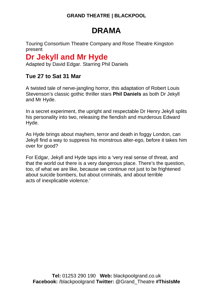# **DRAMA**

Touring Consortium Theatre Company and Rose Theatre Kingston present

# **Dr Jekyll and Mr Hyde**

Adapted by David Edgar. Starring Phil Daniels

## **Tue 27 to Sat 31 Mar**

A twisted tale of nerve-jangling horror, this adaptation of Robert Louis Stevenson's classic gothic thriller stars **Phil Daniels** as both Dr Jekyll and Mr Hyde.

In a secret experiment, the upright and respectable Dr Henry Jekyll splits his personality into two, releasing the fiendish and murderous Edward Hyde.

As Hyde brings about mayhem, terror and death in foggy London, can Jekyll find a way to suppress his monstrous alter-ego, before it takes him over for good?

For Edgar, Jekyll and Hyde taps into a 'very real sense of threat, and that the world out there is a very dangerous place. There's the question, too, of what we are like, because we continue not just to be frightened about suicide bombers, but about criminals, and about terrible acts of inexplicable violence.'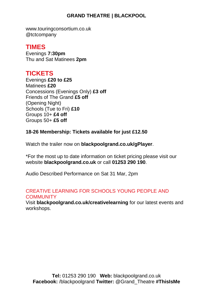www.touringconsortium.co.uk @tctcompany

## **TIMES**

Evenings **7:30pm** Thu and Sat Matinees **2pm**

## **TICKETS**

Evenings **£20 to £25** Matinees **£20** Concessions (Evenings Only) **£3 off** Friends of The Grand **£5 off** (Opening Night) Schools (Tue to Fri) **£10** Groups 10+ **£4 off** Groups 50+ **£5 off**

#### **18-26 Membership: Tickets available for just £12.50**

Watch the trailer now on **blackpoolgrand.co.uk/gPlayer**.

\*For the most up to date information on ticket pricing please visit our website **blackpoolgrand.co.uk** or call **01253 290 190**.

Audio Described Performance on Sat 31 Mar, 2pm

#### CREATIVE LEARNING FOR SCHOOLS YOUNG PEOPLE AND **COMMUNITY**

Visit **blackpoolgrand.co.uk/creativelearning** for our latest events and workshops.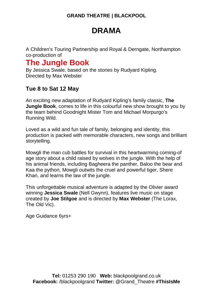# **DRAMA**

A Children's Touring Partnership and Royal & Derngate, Northampton co-production of

# **The Jungle Book**

By Jessica Swale, based on the stories by Rudyard Kipling. Directed by Max Webster

## **Tue 8 to Sat 12 May**

An exciting new adaptation of Rudyard Kipling's family classic, **The Jungle Book**, comes to life in this colourful new show brought to you by the team behind Goodnight Mister Tom and Michael Morpurgo's Running Wild.

Loved as a wild and fun tale of family, belonging and identity, this production is packed with memorable characters, new songs and brilliant storytelling.

Mowgli the man cub battles for survival in this heartwarming coming-of age story about a child raised by wolves in the jungle. With the help of his animal friends, including Bagheera the panther, Baloo the bear and Kaa the python, Mowgli outwits the cruel and powerful tiger, Shere Khan, and learns the law of the jungle.

This unforgettable musical adventure is adapted by the Olivier award winning **Jessica Swale** (Nell Gwynn), features live music on stage created by **Joe Stilgoe** and is directed by **Max Webster** (The Lorax, The Old Vic).

Age Guidance 6yrs+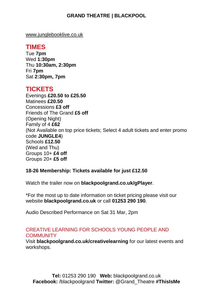[www.junglebooklive.co.uk](http://www.junglebooklive.co.uk/)

### **TIMES**

Tue **7pm** Wed **1:30pm** Thu **10:30am, 2:30pm** Fri **7pm** Sat **2:30pm, 7pm**

### **TICKETS**

Evenings **£20.50 to £25.50** Matinees **£20.50** Concessions **£3 off** Friends of The Grand **£5 off** (Opening Night) Family of 4 **£62** (Not Available on top price tickets; Select 4 adult tickets and enter promo code **JUNGLE4**) Schools **£12.50** (Wed and Thu) Groups 10+ **£4 off** Groups 20+ **£5 off**

#### **18-26 Membership: Tickets available for just £12.50**

Watch the trailer now on **blackpoolgrand.co.uk/gPlayer**.

\*For the most up to date information on ticket pricing please visit our website **blackpoolgrand.co.uk** or call **01253 290 190**.

Audio Described Performance on Sat 31 Mar, 2pm

#### CREATIVE LEARNING FOR SCHOOLS YOUNG PEOPLE AND **COMMUNITY**

Visit **blackpoolgrand.co.uk/creativelearning** for our latest events and workshops.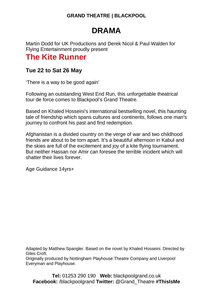# **DRAMA**

Martin Dodd for UK Productions and Derek Nicol & Paul Walden for Flying Entertainment proudly present

# **The Kite Runner**

### **Tue 22 to Sat 26 May**

'There is a way to be good again'

Following an outstanding West End Run, this unforgettable theatrical tour de force comes to Blackpool's Grand Theatre.

Based on Khaled Hosseini's international bestselling novel, this haunting tale of friendship which spans cultures and continents, follows one man's journey to confront his past and find redemption.

Afghanistan is a divided country on the verge of war and two childhood friends are about to be torn apart. It's a beautiful afternoon in Kabul and the skies are full of the excitement and joy of a kite flying tournament. But neither Hassan nor Amir can foresee the terrible incident which will shatter their lives forever.

Age Guidance 14yrs+

Adapted by Matthew Spangler. Based on the novel by Khaled Hosseini. Directed by Giles Croft.

Originally produced by Nottingham Playhouse Theatre Company and Liverpool Everyman and Playhouse.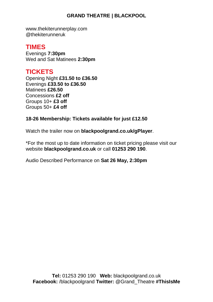www.thekiterunnerplay.com @thekiterunneruk

### **TIMES**

Evenings **7:30pm** Wed and Sat Matinees **2:30pm**

# **TICKETS**

Opening Night **£31.50 to £36.50** Evenings **£33.50 to £36.50** Matinees **£26.50** Concessions **£2 off** Groups 10+ **£3 off** Groups 50+ **£4 off**

#### **18-26 Membership: Tickets available for just £12.50**

Watch the trailer now on **blackpoolgrand.co.uk/gPlayer**.

\*For the most up to date information on ticket pricing please visit our website **blackpoolgrand.co.uk** or call **01253 290 190**.

Audio Described Performance on **Sat 26 May, 2:30pm**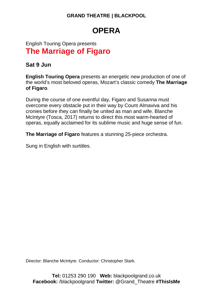# **OPERA**

# English Touring Opera presents **The Marriage of Figaro**

### **Sat 9 Jun**

**English Touring Opera** presents an energetic new production of one of the world's most beloved operas, Mozart's classic comedy **The Marriage of Figaro**.

During the course of one eventful day, Figaro and Susanna must overcome every obstacle put in their way by Count Almaviva and his cronies before they can finally be united as man and wife. Blanche McIntyre (Tosca, 2017) returns to direct this most warm-hearted of operas, equally acclaimed for its sublime music and huge sense of fun.

**The Marriage of Figaro** features a stunning 25-piece orchestra.

Sung in English with surtitles.

Director: Blanche McIntyre. Conductor: Christopher Stark.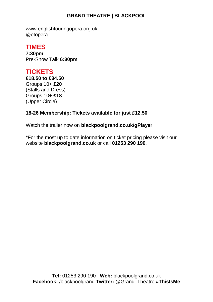www.englishtouringopera.org.uk @etopera

## **TIMES**

**7:30pm** Pre-Show Talk **6:30pm**

# **TICKETS**

**£18.50 to £34.50** Groups 10+ **£20** (Stalls and Dress) Groups 10+ **£18** (Upper Circle)

#### **18-26 Membership: Tickets available for just £12.50**

Watch the trailer now on **blackpoolgrand.co.uk/gPlayer**.

\*For the most up to date information on ticket pricing please visit our website **blackpoolgrand.co.uk** or call **01253 290 190**.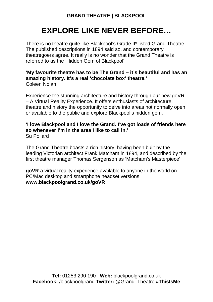# **EXPLORE LIKE NEVER BEFORE…**

There is no theatre quite like Blackpool's Grade II\* listed Grand Theatre. The published descriptions in 1894 said so, and contemporary theatregoers agree. It really is no wonder that the Grand Theatre is referred to as the 'Hidden Gem of Blackpool'.

#### **'My favourite theatre has to be The Grand – it's beautiful and has an amazing history. It's a real 'chocolate box' theatre.'** Coleen Nolan

Experience the stunning architecture and history through our new goVR – A Virtual Reality Experience. It offers enthusiasts of architecture, theatre and history the opportunity to delve into areas not normally open or available to the public and explore Blackpool's hidden gem.

#### **'I love Blackpool and I love the Grand. I've got loads of friends here so whenever I'm in the area I like to call in.'** Su Pollard

The Grand Theatre boasts a rich history, having been built by the leading Victorian architect Frank Matcham in 1894, and described by the first theatre manager Thomas Sergenson as 'Matcham's Masterpiece'.

**goVR** a virtual reality experience available to anyone in the world on PC/Mac desktop and smartphone headset versions. **www.blackpoolgrand.co.uk/goVR**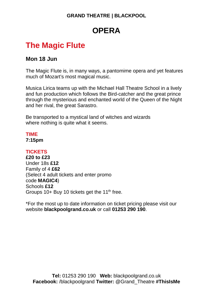# **OPERA**

# **The Magic Flute**

### **Mon 18 Jun**

The Magic Flute is, in many ways, a pantomime opera and yet features much of Mozart's most magical music.

Musica Lirica teams up with the Michael Hall Theatre School in a lively and fun production which follows the Bird-catcher and the great prince through the mysterious and enchanted world of the Queen of the Night and her rival, the great Sarastro.

Be transported to a mystical land of witches and wizards where nothing is quite what it seems.

### **TIME**

**7:15pm**

#### **TICKETS**

**£20 to £23** Under 18s **£12** Family of 4 **£62** (Select 4 adult tickets and enter promo code **MAGIC4**) Schools **£12** Groups 10+ Buy 10 tickets get the 11<sup>th</sup> free.

\*For the most up to date information on ticket pricing please visit our website **blackpoolgrand.co.uk** or call **01253 290 190**.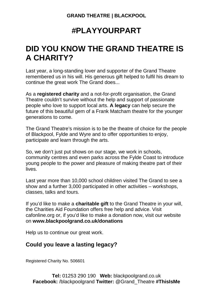# **#PLAYYOURPART**

# **DID YOU KNOW THE GRAND THEATRE IS A CHARITY?**

Last year, a long-standing lover and supporter of the Grand Theatre remembered us in his will. His generous gift helped to fulfil his dream to continue the great work The Grand does...

As a **registered charity** and a not-for-profit organisation, the Grand Theatre couldn't survive without the help and support of passionate people who love to support local arts. **A legacy** can help secure the future of this beautiful gem of a Frank Matcham theatre for the younger generations to come.

The Grand Theatre's mission is to be the theatre of choice for the people of Blackpool, Fylde and Wyre and to offer opportunities to enjoy, participate and learn through the arts.

So, we don't just put shows on our stage, we work in schools, community centres and even parks across the Fylde Coast to introduce young people to the power and pleasure of making theatre part of their lives.

Last year more than 10,000 school children visited The Grand to see a show and a further 3,000 participated in other activities – workshops, classes, talks and tours.

If you'd like to make a **charitable gift** to the Grand Theatre in your will, the Charities Aid Foundation offers free help and advice. Visit cafonline.org or, if you'd like to make a donation now, visit our website on **www.blackpoolgrand.co.uk/donations**

Help us to continue our great work.

### **Could you leave a lasting legacy?**

Registered Charity No. 506601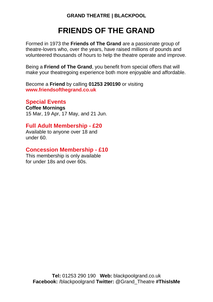# **FRIENDS OF THE GRAND**

Formed in 1973 the **Friends of The Grand** are a passionate group of theatre-lovers who, over the years, have raised millions of pounds and volunteered thousands of hours to help the theatre operate and improve.

Being a **Friend of The Grand**, you benefit from special offers that will make your theatregoing experience both more enjoyable and affordable.

Become a **Friend** by calling **01253 290190** or visiting **www.friendsofthegrand.co.uk**

### **Special Events**

**Coffee Mornings** 15 Mar, 19 Apr, 17 May, and 21 Jun.

#### **Full Adult Membership - £20**

Available to anyone over 18 and under 60.

### **Concession Membership - £10**

This membership is only available for under 18s and over 60s.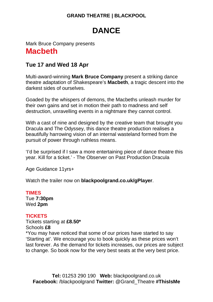# **DANCE**

## Mark Bruce Company presents **Macbeth**

## **Tue 17 and Wed 18 Apr**

Multi-award-winning **Mark Bruce Company** present a striking dance theatre adaptation of Shakespeare's **Macbeth**, a tragic descent into the darkest sides of ourselves.

Goaded by the whispers of demons, the Macbeths unleash murder for their own gains and set in motion their path to madness and self destruction, unravelling events in a nightmare they cannot control.

With a cast of nine and designed by the creative team that brought you Dracula and The Odyssey, this dance theatre production realises a beautifully harrowing vision of an internal wasteland formed from the pursuit of power through ruthless means.

'I'd be surprised if I saw a more entertaining piece of dance theatre this year. Kill for a ticket.' - The Observer on Past Production Dracula

Age Guidance 11yrs+

Watch the trailer now on **blackpoolgrand.co.uk/gPlayer**.

#### **TIMES**

Tue **7:30pm** Wed **2pm**

#### **TICKETS**

Tickets starting at **£8.50\*** Schools **£8** \*You may have noticed that some of our prices have started to say 'Starting at'. We encourage you to book quickly as these prices won't last forever. As the demand for tickets increases, our prices are subject to change. So book now for the very best seats at the very best price.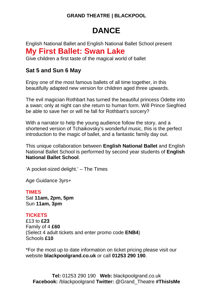# **DANCE**

English National Ballet and English National Ballet School present **My First Ballet: Swan Lake**

Give children a first taste of the magical world of ballet

### **Sat 5 and Sun 6 May**

Enjoy one of the most famous ballets of all time together, in this beautifully adapted new version for children aged three upwards.

The evil magician Rothbart has turned the beautiful princess Odette into a swan; only at night can she return to human form. Will Prince Siegfried be able to save her or will he fall for Rothbart's sorcery?

With a narrator to help the young audience follow the story, and a shortened version of Tchaikovsky's wonderful music, this is the perfect introduction to the magic of ballet, and a fantastic family day out.

This unique collaboration between **English National Ballet** and English National Ballet School is performed by second year students of **English National Ballet School**.

'A pocket-sized delight.' – The Times

Age Guidance 3yrs+

#### **TIMES**

Sat **11am, 2pm, 5pm** Sun **11am, 3pm**

#### **TICKETS**

£13 to **£23** Family of 4 **£60** (Select 4 adult tickets and enter promo code **ENB4**) Schools **£10**

\*For the most up to date information on ticket pricing please visit our website **blackpoolgrand.co.uk** or call **01253 290 190**.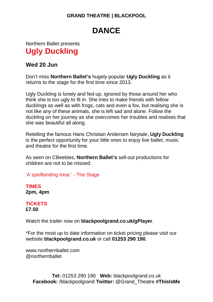# **DANCE**

## Northern Ballet presents **Ugly Duckling**

### **Wed 20 Jun**

Don't miss **Northern Ballet's** hugely popular **Ugly Duckling** as it returns to the stage for the first time since 2013.

Ugly Duckling is lonely and fed-up, ignored by those around her who think she is too ugly to fit in. She tries to make friends with fellow ducklings as well as with frogs, cats and even a fox, but realising she is not like any of these animals, she is left sad and alone. Follow the duckling on her journey as she overcomes her troubles and realises that she was beautiful all along.

Retelling the famous Hans Christian Andersen fairytale, **Ugly Duckling**  is the perfect opportunity for your little ones to enjoy live ballet, music and theatre for the first time.

As seen on CBeebies, **Northern Ballet's** sell-out productions for children are not to be missed.

'A spellbinding treat.' - The Stage

**TIMES 2pm, 4pm**

#### **TICKETS £7.50**

Watch the trailer now on **blackpoolgrand.co.uk/gPlayer**.

\*For the most up to date information on ticket pricing please visit our website **blackpoolgrand.co.uk** or call **01253 290 190**.

www.northernballet.com @northernballet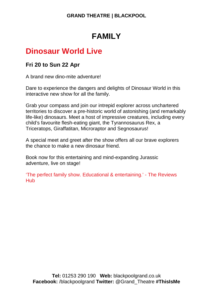# **FAMILY**

# **Dinosaur World Live**

### **Fri 20 to Sun 22 Apr**

A brand new dino-mite adventure!

Dare to experience the dangers and delights of Dinosaur World in this interactive new show for all the family.

Grab your compass and join our intrepid explorer across unchartered territories to discover a pre-historic world of astonishing (and remarkably life-like) dinosaurs. Meet a host of impressive creatures, including every child's favourite flesh-eating giant, the Tyrannosaurus Rex, a Triceratops, Giraffatitan, Microraptor and Segnosaurus!

A special meet and greet after the show offers all our brave explorers the chance to make a new dinosaur friend.

Book now for this entertaining and mind-expanding Jurassic adventure, live on stage!

'The perfect family show. Educational & entertaining.' - The Reviews Hub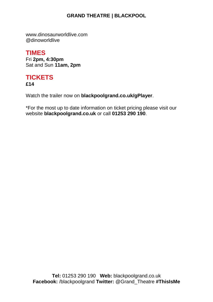www.dinosaurworldlive.com @dinoworldlive

## **TIMES**

Fri **2pm, 4:30pm** Sat and Sun **11am, 2pm**

# **TICKETS**

**£14**

Watch the trailer now on **blackpoolgrand.co.uk/gPlayer**.

\*For the most up to date information on ticket pricing please visit our website **blackpoolgrand.co.uk** or call **01253 290 190**.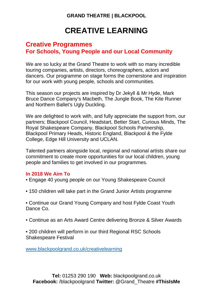# **CREATIVE LEARNING**

### **Creative Programmes For Schools, Young People and our Local Community**

We are so lucky at the Grand Theatre to work with so many incredible touring companies, artists, directors, choreographers, actors and dancers. Our programme on stage forms the cornerstone and inspiration for our work with young people, schools and communities.

This season our projects are inspired by Dr Jekyll & Mr Hyde, Mark Bruce Dance Company's Macbeth, The Jungle Book, The Kite Runner and Northern Ballet's Ugly Duckling.

We are delighted to work with, and fully appreciate the support from, our partners; Blackpool Council, Headstart, Better Start, Curious Minds, The Royal Shakespeare Company, Blackpool Schools Partnership, Blackpool Primary Heads, Historic England, Blackpool & the Fylde College, Edge Hill University and UCLAN.

Talented partners alongside local, regional and national artists share our commitment to create more opportunities for our local children, young people and families to get involved in our programmes.

#### **In 2018 We Aim To**

- Engage 40 young people on our Young Shakespeare Council
- 150 children will take part in the Grand Junior Artists programme
- Continue our Grand Young Company and host Fylde Coast Youth Dance Co.
- Continue as an Arts Award Centre delivering Bronze & Silver Awards
- 200 children will perform in our third Regional RSC Schools Shakespeare Festival

[www.blackpoolgrand.co.uk/creativelearning](http://www.blackpoolgrand.co.uk/creativelearning)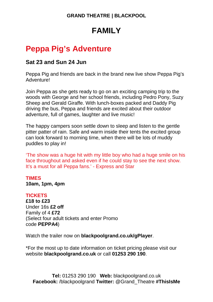# **FAMILY**

# **Peppa Pig's Adventure**

### **Sat 23 and Sun 24 Jun**

Peppa Pig and friends are back in the brand new live show Peppa Pig's Adventure!

Join Peppa as she gets ready to go on an exciting camping trip to the woods with George and her school friends, including Pedro Pony, Suzy Sheep and Gerald Giraffe. With lunch-boxes packed and Daddy Pig driving the bus, Peppa and friends are excited about their outdoor adventure, full of games, laughter and live music!

The happy campers soon settle down to sleep and listen to the gentle pitter patter of rain. Safe and warm inside their tents the excited group can look forward to morning time, when there will be lots of muddy puddles to play in!

'The show was a huge hit with my little boy who had a huge smile on his face throughout and asked even if he could stay to see the next show. It's a must for all Peppa fans.' - Express and Star

#### **TIMES 10am, 1pm, 4pm**

#### **TICKETS**

**£18 to £23** Under 16s **£2 off** Family of 4 **£72** (Select four adult tickets and enter Promo code **PEPPA4**)

Watch the trailer now on **blackpoolgrand.co.uk/gPlayer**.

\*For the most up to date information on ticket pricing please visit our website **blackpoolgrand.co.uk** or call **01253 290 190**.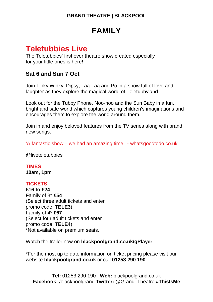# **FAMILY**

# **Teletubbies Live**

The Teletubbies' first ever theatre show created especially for your little ones is here!

## **Sat 6 and Sun 7 Oct**

Join Tinky Winky, Dipsy, Laa-Laa and Po in a show full of love and laughter as they explore the magical world of Teletubbyland.

Look out for the Tubby Phone, Noo-noo and the Sun Baby in a fun, bright and safe world which captures young children's imaginations and encourages them to explore the world around them.

Join in and enjoy beloved features from the TV series along with brand new songs.

'A fantastic show – we had an amazing time!' - whatsgoodtodo.co.uk

@liveteletubbies

**TIMES 10am, 1pm**

#### **TICKETS**

**£16 to £24** Family of 3\* **£54** (Select three adult tickets and enter promo code: **TELE3**) Family of 4\* **£67** (Select four adult tickets and enter promo code: **TELE4**) \*Not available on premium seats.

Watch the trailer now on **blackpoolgrand.co.uk/gPlayer**.

\*For the most up to date information on ticket pricing please visit our website **blackpoolgrand.co.uk** or call **01253 290 190**.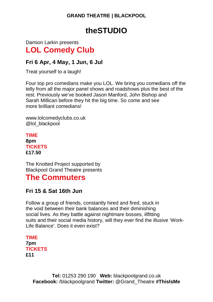# **theSTUDIO**

Damion Larkin presents **LOL Comedy Club**

### **Fri 6 Apr, 4 May, 1 Jun, 6 Jul**

Treat yourself to a laugh!

Four top pro comedians make you LOL. We bring you comedians off the telly from all the major panel shows and roadshows plus the best of the rest. Previously we've booked Jason Manford, John Bishop and Sarah Millican before they hit the big time. So come and see more brilliant comedians!

www.lolcomedyclubs.co.uk @lol\_blackpool

**TIME 8pm TICKETS £17.50**

The Knotted Project supported by Blackpool Grand Theatre presents

# **The Commuters**

## **Fri 15 & Sat 16th Jun**

Follow a group of friends, constantly hired and fired, stuck in the void between their bank balances and their diminishing social lives. As they battle against nightmare bosses, illfitting suits and their social media history, will they ever find the illusive 'Work-Life Balance'. Does it even exist?

**TIME 7pm TICKETS £11**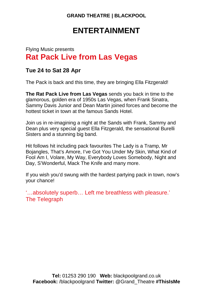# **ENTERTAINMENT**

# Flying Music presents **Rat Pack Live from Las Vegas**

### **Tue 24 to Sat 28 Apr**

The Pack is back and this time, they are bringing Ella Fitzgerald!

**The Rat Pack Live from Las Vegas** sends you back in time to the glamorous, golden era of 1950s Las Vegas, when Frank Sinatra, Sammy Davis Junior and Dean Martin joined forces and become the hottest ticket in town at the famous Sands Hotel.

Join us in re-imagining a night at the Sands with Frank, Sammy and Dean plus very special guest Ella Fitzgerald, the sensational Burelli Sisters and a stunning big band.

Hit follows hit including pack favourites The Lady is a Tramp, Mr Bojangles, That's Amore, I've Got You Under My Skin, What Kind of Fool Am I, Volare, My Way, Everybody Loves Somebody, Night and Day, S'Wonderful, Mack The Knife and many more.

If you wish you'd swung with the hardest partying pack in town, now's your chance!

'…absolutely superb… Left me breathless with pleasure.' The Telegraph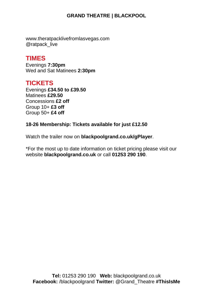www.theratpacklivefromlasvegas.com @ratpack\_live

## **TIMES**

Evenings **7:30pm** Wed and Sat Matinees **2:30pm**

## **TICKETS**

Evenings **£34.50 to £39.50** Matinees **£29.50** Concessions **£2 off** Group 10+ **£3 off** Group 50+ **£4 off**

#### **18-26 Membership: Tickets available for just £12.50**

Watch the trailer now on **blackpoolgrand.co.uk/gPlayer**.

\*For the most up to date information on ticket pricing please visit our website **blackpoolgrand.co.uk** or call **01253 290 190**.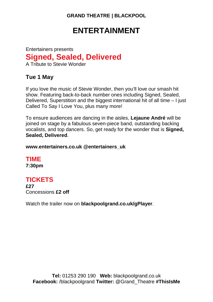# **ENTERTAINMENT**

Entertainers presents **Signed, Sealed, Delivered** A Tribute to Stevie Wonder

### **Tue 1 May**

If you love the music of Stevie Wonder, then you'll love our smash hit show. Featuring back-to-back number ones including Signed, Sealed, Delivered, Superstition and the biggest international hit of all time – I just Called To Say I Love You, plus many more!

To ensure audiences are dancing in the aisles, **Lejaune André** will be joined on stage by a fabulous seven-piece band, outstanding backing vocalists, and top dancers. So, get ready for the wonder that is **Signed, Sealed, Delivered**.

**www.entertainers.co.uk @entertainers\_uk**

**TIME 7:30pm**

# **TICKETS**

**£27** Concessions **£2 off**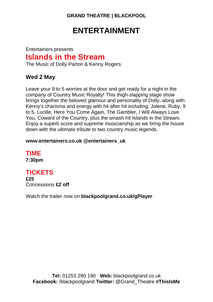# **ENTERTAINMENT**

# Entertainers presents **Islands in the Stream**

The Music of Dolly Parton & Kenny Rogers

## **Wed 2 May**

Leave your 9 to 5 worries at the door and get ready for a night in the company of Country Music Royalty! This thigh-slapping stage show brings together the beloved glamour and personality of Dolly, along with Kenny's charisma and energy with hit after hit including: Jolene, Ruby, 9 to 5, Lucille, Here You Come Again, The Gambler, I Will Always Love You, Coward of the Country, plus the smash hit Islands in the Stream. Enjoy a superb score and supreme musicianship as we bring the house down with the ultimate tribute to two country music legends.

#### **www.entertainers.co.uk @entertainers\_uk**

**TIME 7:30pm**

## **TICKETS**

**£25** Concessions **£2 off**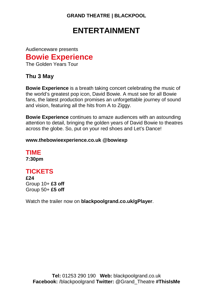# **ENTERTAINMENT**

Audienceware presents **Bowie Experience**

The Golden Years Tour

### **Thu 3 May**

**Bowie Experience** is a breath taking concert celebrating the music of the world's greatest pop icon, David Bowie. A must see for all Bowie fans, the latest production promises an unforgettable journey of sound and vision, featuring all the hits from A to Ziggy.

**Bowie Experience** continues to amaze audiences with an astounding attention to detail, bringing the golden years of David Bowie to theatres across the globe. So, put on your red shoes and Let's Dance!

#### **www.thebowieexperience.co.uk @bowiexp**

**TIME 7:30pm**

## **TICKETS**

**£24** Group 10+ **£3 off** Group 50+ **£5 off**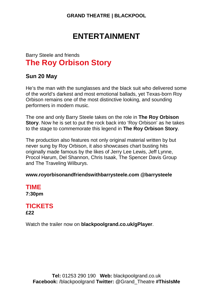# **ENTERTAINMENT**

## Barry Steele and friends **The Roy Orbison Story**

#### **Sun 20 May**

He's the man with the sunglasses and the black suit who delivered some of the world's darkest and most emotional ballads, yet Texas-born Roy Orbison remains one of the most distinctive looking, and sounding performers in modern music.

The one and only Barry Steele takes on the role in **The Roy Orbison Story**. Now he is set to put the rock back into 'Roy Orbison' as he takes to the stage to commemorate this legend in **The Roy Orbison Story**.

The production also features not only original material written by but never sung by Roy Orbison, it also showcases chart busting hits originally made famous by the likes of Jerry Lee Lewis, Jeff Lynne, Procol Harum, Del Shannon, Chris Isaak, The Spencer Davis Group and The Traveling Wilburys.

#### **www.royorbisonandfriendswithbarrysteele.com @barrysteele**

### **TIME 7:30pm**

### **TICKETS £22**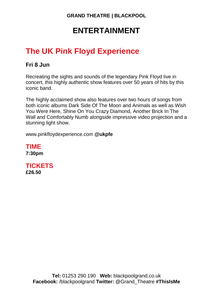# **ENTERTAINMENT**

# **The UK Pink Floyd Experience**

## **Fri 8 Jun**

Recreating the sights and sounds of the legendary Pink Floyd live in concert, this highly authentic show features over 50 years of hits by this iconic band.

The highly acclaimed show also features over two hours of songs from both iconic albums Dark Side Of The Moon and Animals as well as Wish You Were Here, Shine On You Crazy Diamond, Another Brick In The Wall and Comfortably Numb alongside impressive video projection and a stunning light show.

www.pinkfloydexperience.com **@ukpfe**

**TIME 7:30pm**

**TICKETS £26.50**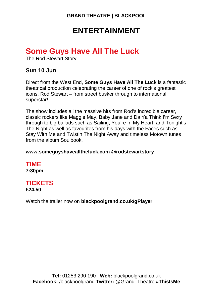# **ENTERTAINMENT**

# **Some Guys Have All The Luck**

The Rod Stewart Story

### **Sun 10 Jun**

Direct from the West End, **Some Guys Have All The Luck** is a fantastic theatrical production celebrating the career of one of rock's greatest icons, Rod Stewart – from street busker through to international superstar!

The show includes all the massive hits from Rod's incredible career, classic rockers like Maggie May, Baby Jane and Da Ya Think I'm Sexy through to big ballads such as Sailing, You're In My Heart, and Tonight's The Night as well as favourites from his days with the Faces such as Stay With Me and Twistin The Night Away and timeless Motown tunes from the album Soulbook.

#### **www.someguyshavealltheluck.com @rodstewartstory**

**TIME 7:30pm**

# **TICKETS**

**£24.50**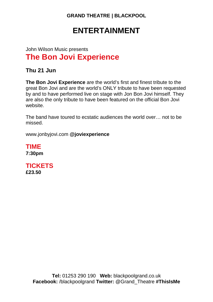# **ENTERTAINMENT**

# John Wilson Music presents **The Bon Jovi Experience**

### **Thu 21 Jun**

**The Bon Jovi Experience** are the world's first and finest tribute to the great Bon Jovi and are the world's ONLY tribute to have been requested by and to have performed live on stage with Jon Bon Jovi himself. They are also the only tribute to have been featured on the official Bon Jovi website.

The band have toured to ecstatic audiences the world over… not to be missed.

www.jonbyjovi.com **@joviexperience**

**TIME 7:30pm**

**TICKETS £23.50**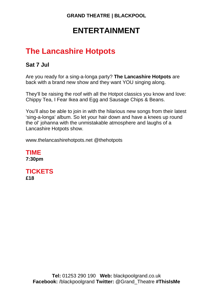# **ENTERTAINMENT**

# **The Lancashire Hotpots**

## **Sat 7 Jul**

Are you ready for a sing-a-longa party? **The Lancashire Hotpots** are back with a brand new show and they want YOU singing along.

They'll be raising the roof with all the Hotpot classics you know and love: Chippy Tea, I Fear Ikea and Egg and Sausage Chips & Beans.

You'll also be able to join in with the hilarious new songs from their latest 'sing-a-longa' album. So let your hair down and have a knees up round the ol' johanna with the unmistakable atmosphere and laughs of a Lancashire Hotpots show.

www.thelancashirehotpots.net @thehotpots

**TIME 7:30pm**

**TICKETS £18**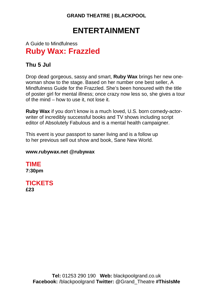# **ENTERTAINMENT**

## A Guide to Mindfulness **Ruby Wax: Frazzled**

## **Thu 5 Jul**

Drop dead gorgeous, sassy and smart, **Ruby Wax** brings her new onewoman show to the stage. Based on her number one best seller, A Mindfulness Guide for the Frazzled. She's been honoured with the title of poster girl for mental illness; once crazy now less so, she gives a tour of the mind – how to use it, not lose it.

**Ruby Wax** if you don't know is a much loved, U.S. born comedy-actorwriter of incredibly successful books and TV shows including script editor of Absolutely Fabulous and is a mental health campaigner.

This event is your passport to saner living and is a follow up to her previous sell out show and book, Sane New World.

#### **www.rubywax.net @rubywax**

**TIME 7:30pm**

**TICKETS £23**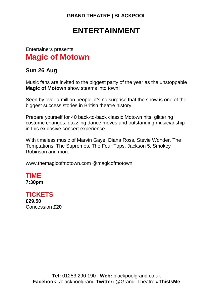# **ENTERTAINMENT**

# Entertainers presents **Magic of Motown**

### **Sun 26 Aug**

Music fans are invited to the biggest party of the year as the unstoppable **Magic of Motown** show steams into town!

Seen by over a million people, it's no surprise that the show is one of the biggest success stories in British theatre history.

Prepare yourself for 40 back-to-back classic Motown hits, glittering costume changes, dazzling dance moves and outstanding musicianship in this explosive concert experience.

With timeless music of Marvin Gaye, Diana Ross, Stevie Wonder, The Temptations, The Supremes, The Four Tops, Jackson 5, Smokey Robinson and more.

www.themagicofmotown.com @magicofmotown

# **TIME**

**7:30pm**

### **TICKETS**

**£29.50** Concession **£20**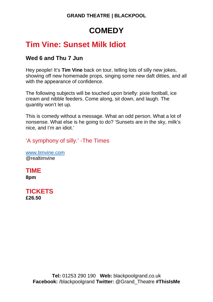# **COMEDY**

# **Tim Vine: Sunset Milk Idiot**

### **Wed 6 and Thu 7 Jun**

Hey people! It's **Tim Vine** back on tour, telling lots of silly new jokes, showing off new homemade props, singing some new daft ditties, and all with the appearance of confidence.

The following subjects will be touched upon briefly: pixie football, ice cream and nibble feeders. Come along, sit down, and laugh. The quantity won't let up.

This is comedy without a message. What an odd person. What a lot of nonsense. What else is he going to do? 'Sunsets are in the sky, milk's nice, and I'm an idiot.'

'A symphony of silly.' -The Times

[www.timvine.com](http://www.timvine.com/) @realtimvine

**TIME 8pm**

**TICKETS £26.50**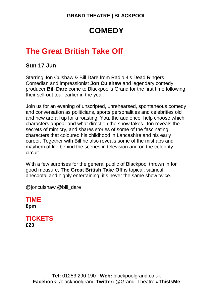# **COMEDY**

# **The Great British Take Off**

### **Sun 17 Jun**

Starring Jon Culshaw & Bill Dare from Radio 4's Dead Ringers Comedian and impressionist **Jon Culshaw** and legendary comedy producer **Bill Dare** come to Blackpool's Grand for the first time following their sell-out tour earlier in the year.

Join us for an evening of unscripted, unrehearsed, spontaneous comedy and conversation as politicians, sports personalities and celebrities old and new are all up for a roasting. You, the audience, help choose which characters appear and what direction the show takes. Jon reveals the secrets of mimicry, and shares stories of some of the fascinating characters that coloured his childhood in Lancashire and his early career. Together with Bill he also reveals some of the mishaps and mayhem of life behind the scenes in television and on the celebrity circuit.

With a few surprises for the general public of Blackpool thrown in for good measure, **The Great British Take Off** is topical, satirical, anecdotal and highly entertaining; it's never the same show twice.

@jonculshaw @bill\_dare

**TIME 8pm**

**TICKETS £23**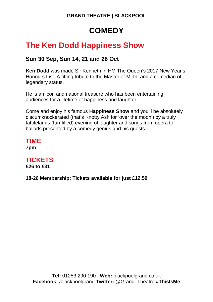# **COMEDY**

# **The Ken Dodd Happiness Show**

## **Sun 30 Sep, Sun 14, 21 and 28 Oct**

**Ken Dodd** was made Sir Kenneth in HM The Queen's 2017 New Year's Honours List. A fitting tribute to the Master of Mirth, and a comedian of legendary status.

He is an icon and national treasure who has been entertaining audiences for a lifetime of happiness and laughter.

Come and enjoy his famous **Happiness Show** and you'll be absolutely discumknockerated (that's Knotty Ash for 'over the moon') by a truly tattifelarius (fun-filled) evening of laughter and songs from opera to ballads presented by a comedy genius and his guests.

**TIME 7pm**

# **TICKETS**

**£26 to £31**

**18-26 Membership: Tickets available for just £12.50**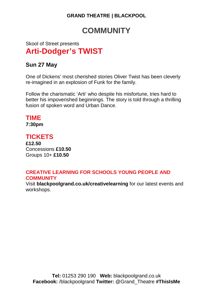# **COMMUNITY**

## Skool of Street presents **Arti-Dodger's TWIST**

## **Sun 27 May**

One of Dickens' most cherished stories Oliver Twist has been cleverly re-imagined in an explosion of Funk for the family.

Follow the charismatic 'Arti' who despite his misfortune, tries hard to better his impoverished beginnings. The story is told through a thrilling fusion of spoken word and Urban Dance.

# **TIME**

**7:30pm**

## **TICKETS**

**£12.50** Concessions **£10.50** Groups 10+ **£10.50**

#### **CREATIVE LEARNING FOR SCHOOLS YOUNG PEOPLE AND COMMUNITY**

Visit **blackpoolgrand.co.uk/creativelearning** for our latest events and workshops.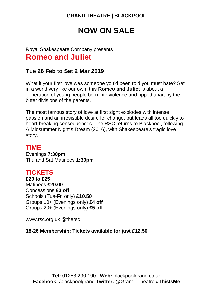# **NOW ON SALE**

# Royal Shakespeare Company presents **Romeo and Juliet**

### **Tue 26 Feb to Sat 2 Mar 2019**

What if your first love was someone you'd been told you must hate? Set in a world very like our own, this **Romeo and Juliet** is about a generation of young people born into violence and ripped apart by the bitter divisions of the parents.

The most famous story of love at first sight explodes with intense passion and an irresistible desire for change, but leads all too quickly to heart-breaking consequences. The RSC returns to Blackpool, following A Midsummer Night's Dream (2016), with Shakespeare's tragic love story.

### **TIME**

Evenings **7:30pm** Thu and Sat Matinees **1:30pm**

## **TICKETS**

**£20 to £25** Matinees **£20.00** Concessions **£3 off** Schools (Tue-Fri only) **£10.50** Groups 10+ (Evenings only) **£4 off** Groups 20+ (Evenings only) **£5 off**

www.rsc.org.uk @thersc

**18-26 Membership: Tickets available for just £12.50**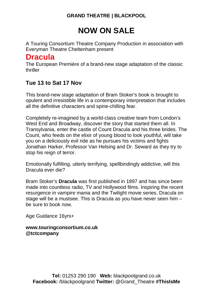# **NOW ON SALE**

A Touring Consortium Theatre Company Production in association with Everyman Theatre Cheltenham present

# **Dracula**

The European Première of a brand-new stage adaptation of the classic thriller

## **Tue 13 to Sat 17 Nov**

This brand-new stage adaptation of Bram Stoker's book is brought to opulent and irresistible life in a contemporary interpretation that includes all the definitive characters and spine-chilling fear.

Completely re-imagined by a world-class creative team from London's West End and Broadway, discover the story that started them all. In Transylvania, enter the castle of Count Dracula and his three brides. The Count, who feeds on the elixir of young blood to look youthful, will take you on a deliciously evil ride as he pursues his victims and fights Jonathan Harker, Professor Van Helsing and Dr. Seward as they try to stop his reign of terror.

Emotionally fulfilling, utterly terrifying, spellbindingly addictive, will this Dracula ever die?

Bram Stoker's **Dracula** was first published in 1897 and has since been made into countless radio, TV and Hollywood films. Inspiring the recent resurgence in vampire mania and the Twilight movie series, Dracula on stage will be a mustsee. This is Dracula as you have never seen him – be sure to book now.

Age Guidance 16yrs+

**www.touringconsortium.co.uk @tctcompany**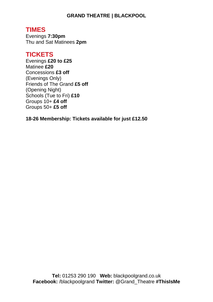## **TIMES**

Evenings **7:30pm** Thu and Sat Matinees **2pm**

## **TICKETS**

Evenings **£20 to £25** Matinee **£20** Concessions **£3 off** (Evenings Only) Friends of The Grand **£5 off** (Opening Night) Schools (Tue to Fri) **£10** Groups 10+ **£4 off** Groups 50+ **£5 off**

**18-26 Membership: Tickets available for just £12.50**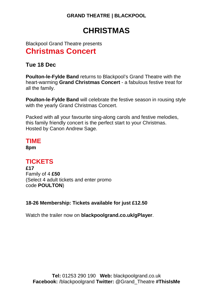# **CHRISTMAS**

Blackpool Grand Theatre presents **Christmas Concert**

**Tue 18 Dec**

**Poulton-le-Fylde Band** returns to Blackpool's Grand Theatre with the heart-warming **Grand Christmas Concert** - a fabulous festive treat for all the family.

**Poulton-le-Fylde Band** will celebrate the festive season in rousing style with the yearly Grand Christmas Concert.

Packed with all your favourite sing-along carols and festive melodies, this family friendly concert is the perfect start to your Christmas. Hosted by Canon Andrew Sage.

# **TIME**

**8pm**

## **TICKETS**

**£17** Family of 4 **£50** (Select 4 adult tickets and enter promo code **POULTON**)

#### **18-26 Membership: Tickets available for just £12.50**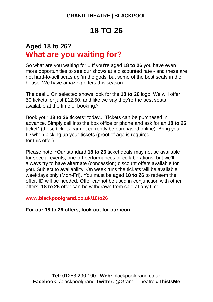# **18 TO 26**

# **Aged 18 to 26? What are you waiting for?**

So what are you waiting for... If you're aged **18 to 26** you have even more opportunities to see our shows at a discounted rate - and these are not hard-to-sell seats up 'in the gods' but some of the best seats in the house. We have amazing offers this season.

The deal... On selected shows look for the **18 to 26** logo. We will offer 50 tickets for just £12.50, and like we say they're the best seats available at the time of booking.\*

Book your **18 to 26** tickets\* today... Tickets can be purchased in advance. Simply call into the box office or phone and ask for an **18 to 26**  ticket\* (these tickets cannot currently be purchased online). Bring your ID when picking up your tickets (proof of age is required for this offer).

Please note: \*Our standard **18 to 26** ticket deals may not be available for special events, one-off performances or collaborations, but we'll always try to have alternate (concession) discount offers available for you. Subject to availability. On week runs the tickets will be available weekdays only (Mon-Fri). You must be aged **18 to 26** to redeem the offer, ID will be needed. Offer cannot be used in conjunction with other offers. **18 to 26** offer can be withdrawn from sale at any time.

**www.blackpoolgrand.co.uk/18to26**

**For our 18 to 26 offers, look out for our icon.**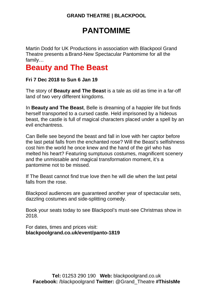# **PANTOMIME**

Martin Dodd for UK Productions in association with Blackpool Grand Theatre presents a Brand-New Spectacular Pantomime for all the family…

# **Beauty and The Beast**

#### **Fri 7 Dec 2018 to Sun 6 Jan 19**

The story of **Beauty and The Beast** is a tale as old as time in a far-off land of two very different kingdoms.

In **Beauty and The Beast**, Belle is dreaming of a happier life but finds herself transported to a cursed castle. Held imprisoned by a hideous beast, the castle is full of magical characters placed under a spell by an evil enchantress.

Can Belle see beyond the beast and fall in love with her captor before the last petal falls from the enchanted rose? Will the Beast's selfishness cost him the world he once knew and the hand of the girl who has melted his heart? Featuring sumptuous costumes, magnificent scenery and the unmissable and magical transformation moment, it's a pantomime not to be missed.

If The Beast cannot find true love then he will die when the last petal falls from the rose.

Blackpool audiences are guaranteed another year of spectacular sets, dazzling costumes and side-splitting comedy.

Book your seats today to see Blackpool's must-see Christmas show in 2018.

For dates, times and prices visit: **blackpoolgrand.co.uk/event/panto-1819**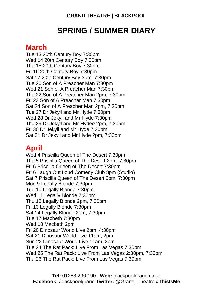# **SPRING / SUMMER DIARY**

# **March**

Tue 13 20th Century Boy 7:30pm Wed 14 20th Century Boy 7:30pm Thu 15 20th Century Boy 7:30pm Fri 16 20th Century Boy 7:30pm Sat 17 20th Century Boy 3pm, 7:30pm Tue 20 Son of A Preacher Man 7:30pm Wed 21 Son of A Preacher Man 7:30pm Thu 22 Son of A Preacher Man 2pm, 7:30pm Fri 23 Son of A Preacher Man 7:30pm Sat 24 Son of A Preacher Man 2pm, 7:30pm Tue 27 Dr Jekyll and Mr Hyde 7:30pm Wed 28 Dr Jekyll and Mr Hyde 7:30pm Thu 29 Dr Jekyll and Mr Hydee 2pm, 7:30pm Fri 30 Dr Jekyll and Mr Hyde 7:30pm Sat 31 Dr Jekyll and Mr Hyde 2pm, 7:30pm

# **April**

Wed 4 Priscilla Queen of The Desert 7:30pm Thu 5 Priscilla Queen of The Desert 2pm, 7:30pm Fri 6 Priscilla Queen of The Desert 7:30pm Fri 6 Laugh Out Loud Comedy Club 8pm (Studio) Sat 7 Priscilla Queen of The Desert 2pm, 7:30pm Mon 9 Legally Blonde 7:30pm Tue 10 Legally Blonde 7:30pm Wed 11 Legally Blonde 7:30pm Thu 12 Legally Blonde 2pm, 7:30pm Fri 13 Legally Blonde 7:30pm Sat 14 Legally Blonde 2pm, 7:30pm Tue 17 Macbeth 7:30pm Wed 18 Macbeth 2pm Fri 20 Dinosaur World Live 2pm, 4:30pm Sat 21 Dinosaur World Live 11am, 2pm Sun 22 Dinosaur World Live 11am, 2pm Tue 24 The Rat Pack: Live From Las Vegas 7:30pm Wed 25 The Rat Pack: Live From Las Vegas 2:30pm, 7:30pm Thu 26 The Rat Pack: Live From Las Vegas 7:30pm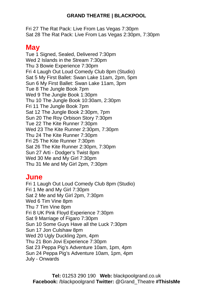Fri 27 The Rat Pack: Live From Las Vegas 7:30pm Sat 28 The Rat Pack: Live From Las Vegas 2:30pm, 7:30pm

# **May**

Tue 1 Signed, Sealed, Delivered 7:30pm Wed 2 Islands in the Stream 7:30pm Thu 3 Bowie Experience 7:30pm Fri 4 Laugh Out Loud Comedy Club 8pm (Studio) Sat 5 My First Ballet: Swan Lake 11am, 2pm, 5pm Sun 6 My First Ballet: Swan Lake 11am, 3pm Tue 8 The Jungle Book 7pm Wed 9 The Jungle Book 1:30pm Thu 10 The Jungle Book 10:30am, 2:30pm Fri 11 The Jungle Book 7pm Sat 12 The Jungle Book 2:30pm, 7pm Sun 20 The Roy Orbison Story 7:30pm Tue 22 The Kite Runner 7:30pm Wed 23 The Kite Runner 2:30pm, 7:30pm Thu 24 The Kite Runner 7:30pm Fri 25 The Kite Runner 7:30pm Sat 26 The Kite Runner 2:30pm, 7:30pm Sun 27 Arti - Dodger's Twist 8pm Wed 30 Me and My Girl 7:30pm Thu 31 Me and My Girl 2pm, 7:30pm

# **June**

Fri 1 Laugh Out Loud Comedy Club 8pm (Studio) Fri 1 Me and My Girl 7:30pm Sat 2 Me and My Girl 2pm, 7:30pm Wed 6 Tim Vine 8pm Thu 7 Tim Vine 8pm Fri 8 UK Pink Floyd Experience 7:30pm Sat 9 Marriage of Figaro 7:30pm Sun 10 Some Guys Have all the Luck 7:30pm Sun 17 Jon Culshaw 8pm Wed 20 Ugly Duckling 2pm, 4pm Thu 21 Bon Jovi Experience 7:30pm Sat 23 Peppa Pig's Adventure 10am, 1pm, 4pm Sun 24 Peppa Pig's Adventure 10am, 1pm, 4pm July - Onwards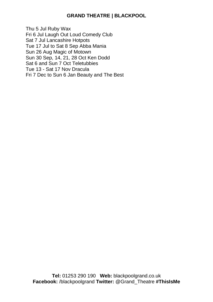Thu 5 Jul Ruby Wax Fri 6 Jul Laugh Out Loud Comedy Club Sat 7 Jul Lancashire Hotpots Tue 17 Jul to Sat 8 Sep Abba Mania Sun 26 Aug Magic of Motown Sun 30 Sep, 14, 21, 28 Oct Ken Dodd Sat 6 and Sun 7 Oct Teletubbies Tue 13 - Sat 17 Nov Dracula Fri 7 Dec to Sun 6 Jan Beauty and The Best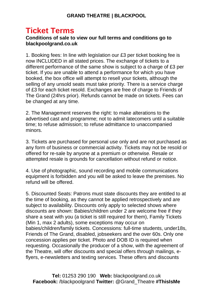# **Ticket Terms**

#### **Conditions of sale to view our full terms and conditions go to blackpoolgrand.co.uk**

1. Booking fees: In line with legislation our £3 per ticket booking fee is now INCLUDED in all stated prices. The exchange of tickets to a different performance of the same show is subject to a charge of £3 per ticket. If you are unable to attend a performance for which you have booked, the box office will attempt to resell your tickets, although the selling of any unsold seats must take priority. There is a service charge of £3 for each ticket resold. Exchanges are free of charge to Friends of The Grand (24hrs prior). Refunds cannot be made on tickets. Fees can be changed at any time.

2. The Management reserves the right: to make alterations to the advertised cast and programme; not to admit latecomers until a suitable time; to refuse admission; to refuse admittance to unaccompanied minors.

3. Tickets are purchased for personal use only and are not purchased as any form of business or commercial activity. Tickets may not be resold or offered for re-sale by anyone at a premium or otherwise. Resale or attempted resale is grounds for cancellation without refund or notice.

4. Use of photographic, sound recording and mobile communications equipment is forbidden and you will be asked to leave the premises. No refund will be offered.

5. Discounted Seats: Patrons must state discounts they are entitled to at the time of booking, as they cannot be applied retrospectively and are subiect to availability. Discounts only apply to selected shows where discounts are shown: Babies/children under 2 are welcome free if they share a seat with you (a ticket is still required for them), Family Tickets (Min 1, max 2 adults), some exceptions may occur on babies/children/family tickets. Concessions: full-time students, under18s, Friends of The Grand, disabled, jobseekers and the over 60s. Only one concession applies per ticket. Photo and DOB ID is required when requesting. Occasionally the producer of a show, with the agreement of the Theatre, will offer discounts and special offers through mailings, eflyers, e-newsletters and texting services. These offers and discounts